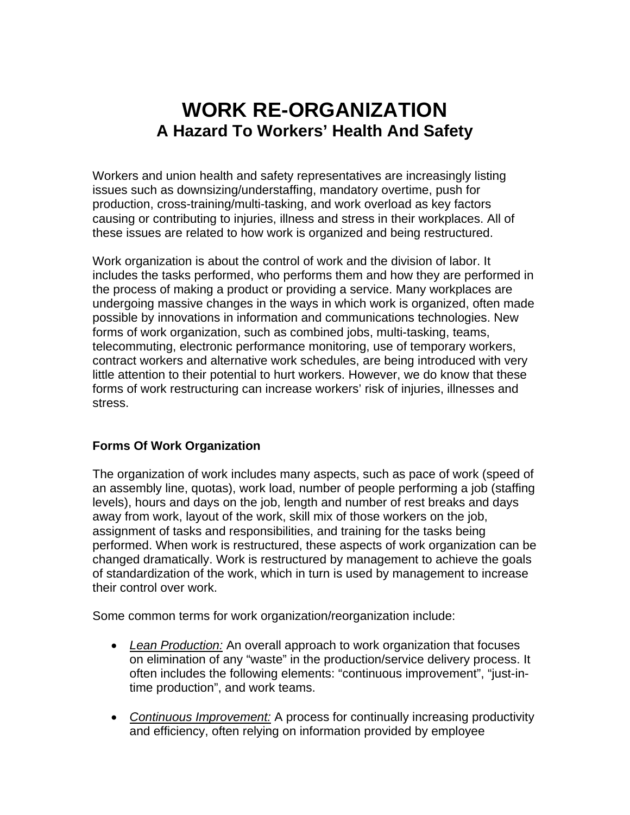# **WORK RE-ORGANIZATION A Hazard To Workers' Health And Safety**

Workers and union health and safety representatives are increasingly listing issues such as downsizing/understaffing, mandatory overtime, push for production, cross-training/multi-tasking, and work overload as key factors causing or contributing to injuries, illness and stress in their workplaces. All of these issues are related to how work is organized and being restructured.

Work organization is about the control of work and the division of labor. It includes the tasks performed, who performs them and how they are performed in the process of making a product or providing a service. Many workplaces are undergoing massive changes in the ways in which work is organized, often made possible by innovations in information and communications technologies. New forms of work organization, such as combined jobs, multi-tasking, teams, telecommuting, electronic performance monitoring, use of temporary workers, contract workers and alternative work schedules, are being introduced with very little attention to their potential to hurt workers. However, we do know that these forms of work restructuring can increase workers' risk of injuries, illnesses and stress.

# **Forms Of Work Organization**

The organization of work includes many aspects, such as pace of work (speed of an assembly line, quotas), work load, number of people performing a job (staffing levels), hours and days on the job, length and number of rest breaks and days away from work, layout of the work, skill mix of those workers on the job, assignment of tasks and responsibilities, and training for the tasks being performed. When work is restructured, these aspects of work organization can be changed dramatically. Work is restructured by management to achieve the goals of standardization of the work, which in turn is used by management to increase their control over work.

Some common terms for work organization/reorganization include:

- *Lean Production:* An overall approach to work organization that focuses on elimination of any "waste" in the production/service delivery process. It often includes the following elements: "continuous improvement", "just-intime production", and work teams.
- *Continuous Improvement:* A process for continually increasing productivity and efficiency, often relying on information provided by employee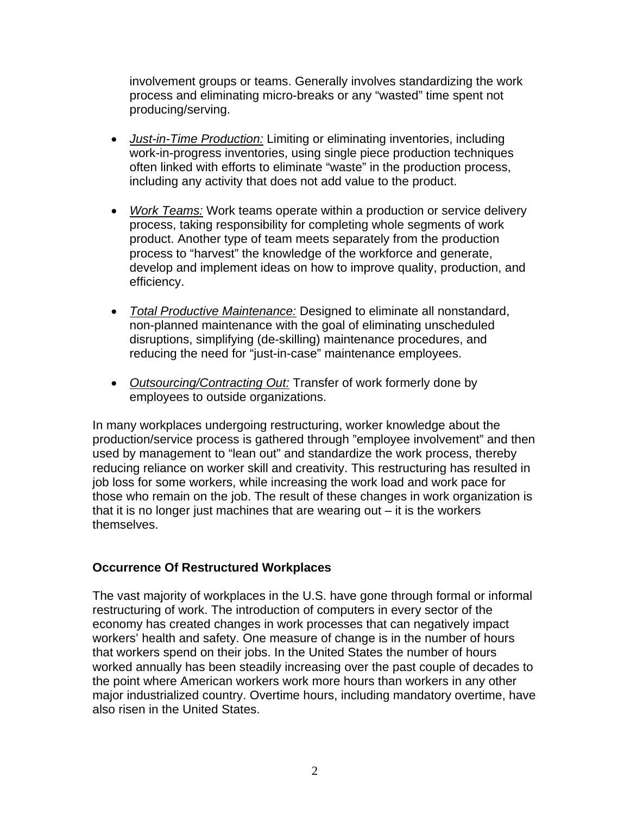involvement groups or teams. Generally involves standardizing the work process and eliminating micro-breaks or any "wasted" time spent not producing/serving.

- *Just-in-Time Production:* Limiting or eliminating inventories, including work-in-progress inventories, using single piece production techniques often linked with efforts to eliminate "waste" in the production process, including any activity that does not add value to the product.
- *Work Teams:* Work teams operate within a production or service delivery process, taking responsibility for completing whole segments of work product. Another type of team meets separately from the production process to "harvest" the knowledge of the workforce and generate, develop and implement ideas on how to improve quality, production, and efficiency.
- *Total Productive Maintenance:* Designed to eliminate all nonstandard, non-planned maintenance with the goal of eliminating unscheduled disruptions, simplifying (de-skilling) maintenance procedures, and reducing the need for "just-in-case" maintenance employees.
- *Outsourcing/Contracting Out:* Transfer of work formerly done by employees to outside organizations.

In many workplaces undergoing restructuring, worker knowledge about the production/service process is gathered through "employee involvement" and then used by management to "lean out" and standardize the work process, thereby reducing reliance on worker skill and creativity. This restructuring has resulted in job loss for some workers, while increasing the work load and work pace for those who remain on the job. The result of these changes in work organization is that it is no longer just machines that are wearing out – it is the workers themselves.

#### **Occurrence Of Restructured Workplaces**

The vast majority of workplaces in the U.S. have gone through formal or informal restructuring of work. The introduction of computers in every sector of the economy has created changes in work processes that can negatively impact workers' health and safety. One measure of change is in the number of hours that workers spend on their jobs. In the United States the number of hours worked annually has been steadily increasing over the past couple of decades to the point where American workers work more hours than workers in any other major industrialized country. Overtime hours, including mandatory overtime, have also risen in the United States.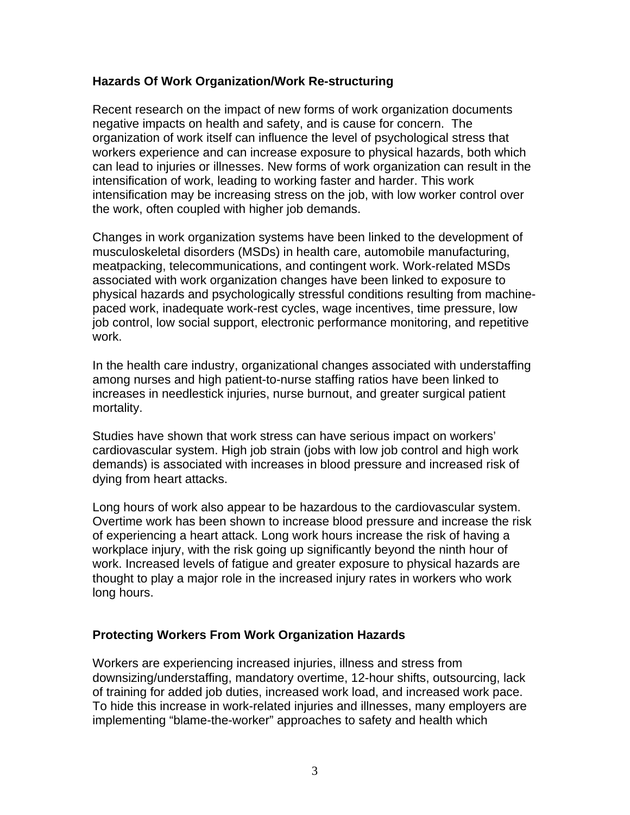#### **Hazards Of Work Organization/Work Re-structuring**

Recent research on the impact of new forms of work organization documents negative impacts on health and safety, and is cause for concern. The organization of work itself can influence the level of psychological stress that workers experience and can increase exposure to physical hazards, both which can lead to injuries or illnesses. New forms of work organization can result in the intensification of work, leading to working faster and harder. This work intensification may be increasing stress on the job, with low worker control over the work, often coupled with higher job demands.

Changes in work organization systems have been linked to the development of musculoskeletal disorders (MSDs) in health care, automobile manufacturing, meatpacking, telecommunications, and contingent work. Work-related MSDs associated with work organization changes have been linked to exposure to physical hazards and psychologically stressful conditions resulting from machinepaced work, inadequate work-rest cycles, wage incentives, time pressure, low job control, low social support, electronic performance monitoring, and repetitive work.

In the health care industry, organizational changes associated with understaffing among nurses and high patient-to-nurse staffing ratios have been linked to increases in needlestick injuries, nurse burnout, and greater surgical patient mortality.

Studies have shown that work stress can have serious impact on workers' cardiovascular system. High job strain (jobs with low job control and high work demands) is associated with increases in blood pressure and increased risk of dying from heart attacks.

Long hours of work also appear to be hazardous to the cardiovascular system. Overtime work has been shown to increase blood pressure and increase the risk of experiencing a heart attack. Long work hours increase the risk of having a workplace injury, with the risk going up significantly beyond the ninth hour of work. Increased levels of fatigue and greater exposure to physical hazards are thought to play a major role in the increased injury rates in workers who work long hours.

# **Protecting Workers From Work Organization Hazards**

Workers are experiencing increased injuries, illness and stress from downsizing/understaffing, mandatory overtime, 12-hour shifts, outsourcing, lack of training for added job duties, increased work load, and increased work pace. To hide this increase in work-related injuries and illnesses, many employers are implementing "blame-the-worker" approaches to safety and health which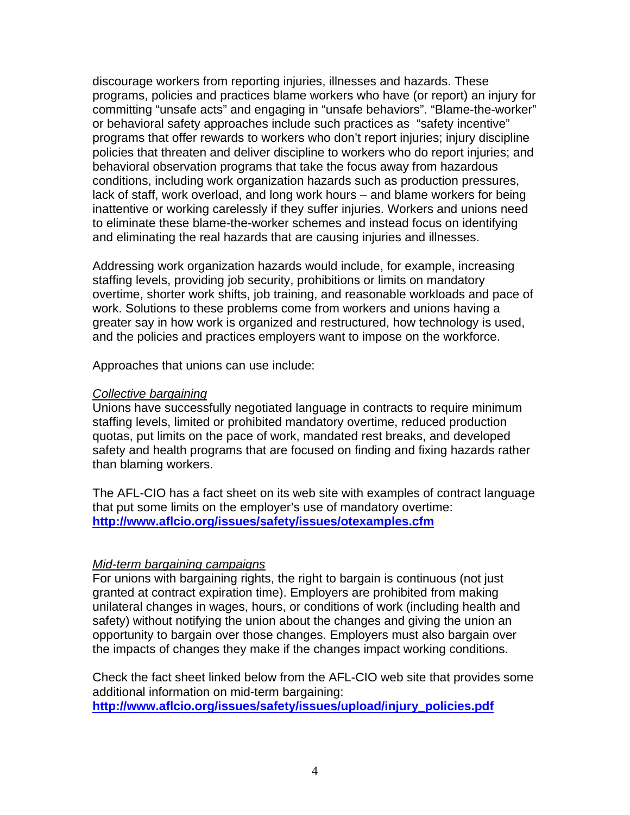discourage workers from reporting injuries, illnesses and hazards. These programs, policies and practices blame workers who have (or report) an injury for committing "unsafe acts" and engaging in "unsafe behaviors". "Blame-the-worker" or behavioral safety approaches include such practices as "safety incentive" programs that offer rewards to workers who don't report injuries; injury discipline policies that threaten and deliver discipline to workers who do report injuries; and behavioral observation programs that take the focus away from hazardous conditions, including work organization hazards such as production pressures, lack of staff, work overload, and long work hours – and blame workers for being inattentive or working carelessly if they suffer injuries. Workers and unions need to eliminate these blame-the-worker schemes and instead focus on identifying and eliminating the real hazards that are causing injuries and illnesses.

Addressing work organization hazards would include, for example, increasing staffing levels, providing job security, prohibitions or limits on mandatory overtime, shorter work shifts, job training, and reasonable workloads and pace of work. Solutions to these problems come from workers and unions having a greater say in how work is organized and restructured, how technology is used, and the policies and practices employers want to impose on the workforce.

Approaches that unions can use include:

#### *Collective bargaining*

Unions have successfully negotiated language in contracts to require minimum staffing levels, limited or prohibited mandatory overtime, reduced production quotas, put limits on the pace of work, mandated rest breaks, and developed safety and health programs that are focused on finding and fixing hazards rather than blaming workers.

The AFL-CIO has a fact sheet on its web site with examples of contract language that put some limits on the employer's use of mandatory overtime: **<http://www.aflcio.org/issues/safety/issues/otexamples.cfm>**

# *Mid-term bargaining campaigns*

For unions with bargaining rights, the right to bargain is continuous (not just granted at contract expiration time). Employers are prohibited from making unilateral changes in wages, hours, or conditions of work (including health and safety) without notifying the union about the changes and giving the union an opportunity to bargain over those changes. Employers must also bargain over the impacts of changes they make if the changes impact working conditions.

Check the fact sheet linked below from the AFL-CIO web site that provides some additional information on mid-term bargaining: **[http://www.aflcio.org/issues/safety/issues/upload/injury\\_policies.pdf](http://www.aflcio.org/issues/safety/issues/upload/injury_policies.pdf)**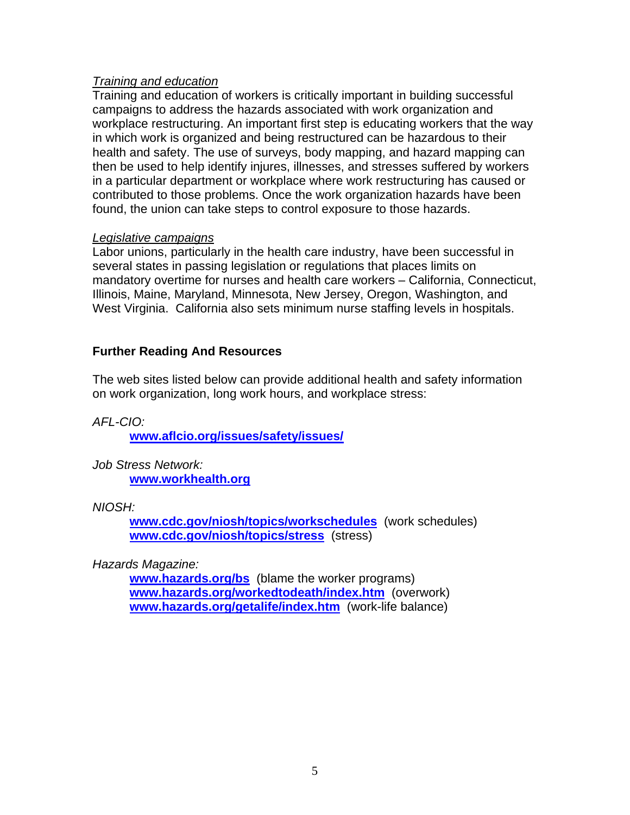### *Training and education*

Training and education of workers is critically important in building successful campaigns to address the hazards associated with work organization and workplace restructuring. An important first step is educating workers that the way in which work is organized and being restructured can be hazardous to their health and safety. The use of surveys, body mapping, and hazard mapping can then be used to help identify injures, illnesses, and stresses suffered by workers in a particular department or workplace where work restructuring has caused or contributed to those problems. Once the work organization hazards have been found, the union can take steps to control exposure to those hazards.

#### *Legislative campaigns*

Labor unions, particularly in the health care industry, have been successful in several states in passing legislation or regulations that places limits on mandatory overtime for nurses and health care workers – California, Connecticut, Illinois, Maine, Maryland, Minnesota, New Jersey, Oregon, Washington, and West Virginia. California also sets minimum nurse staffing levels in hospitals.

# **Further Reading And Resources**

The web sites listed below can provide additional health and safety information on work organization, long work hours, and workplace stress:

*AFL-CIO:* 

**[www.aflcio.org/issues/safety/issues/](http://www.aflcio.org/issues/safety/issues/)**

*Job Stress Network:*  **[www.workhealth.org](http://www.workhealth.org/)**

*NIOSH:* 

**[www.cdc.gov/niosh/topics/workschedules](http://www.cdc.gov/niosh/topics/workschedules)** (work schedules) **[www.cdc.gov/niosh/topics/stress](http://www.cdc.gov/niosh/topics/stress)** (stress)

*Hazards Magazine:* 

**[www.hazards.org/bs](http://www.hazards.org/bs)** (blame the worker programs) **[www.hazards.org/workedtodeath/index.htm](http://www.hazards.org/workedtodeath/index.htm)** (overwork) **[www.hazards.org/getalife/index.htm](http://www.hazards.org/getalife/index.htm)** (work-life balance)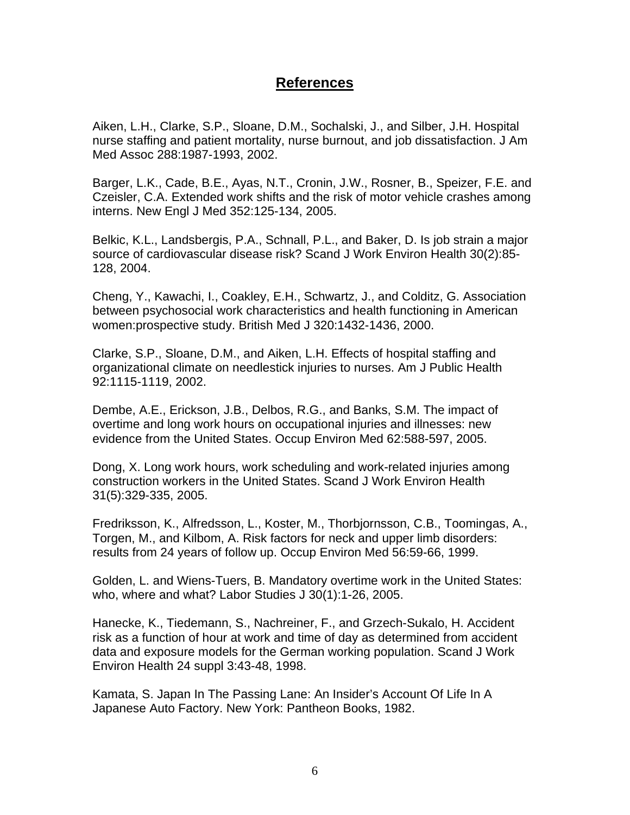# **References**

Aiken, L.H., Clarke, S.P., Sloane, D.M., Sochalski, J., and Silber, J.H. Hospital nurse staffing and patient mortality, nurse burnout, and job dissatisfaction. J Am Med Assoc 288:1987-1993, 2002.

Barger, L.K., Cade, B.E., Ayas, N.T., Cronin, J.W., Rosner, B., Speizer, F.E. and Czeisler, C.A. Extended work shifts and the risk of motor vehicle crashes among interns. New Engl J Med 352:125-134, 2005.

Belkic, K.L., Landsbergis, P.A., Schnall, P.L., and Baker, D. Is job strain a major source of cardiovascular disease risk? Scand J Work Environ Health 30(2):85- 128, 2004.

Cheng, Y., Kawachi, I., Coakley, E.H., Schwartz, J., and Colditz, G. Association between psychosocial work characteristics and health functioning in American women:prospective study. British Med J 320:1432-1436, 2000.

Clarke, S.P., Sloane, D.M., and Aiken, L.H. Effects of hospital staffing and organizational climate on needlestick injuries to nurses. Am J Public Health 92:1115-1119, 2002.

Dembe, A.E., Erickson, J.B., Delbos, R.G., and Banks, S.M. The impact of overtime and long work hours on occupational injuries and illnesses: new evidence from the United States. Occup Environ Med 62:588-597, 2005.

Dong, X. Long work hours, work scheduling and work-related injuries among construction workers in the United States. Scand J Work Environ Health 31(5):329-335, 2005.

Fredriksson, K., Alfredsson, L., Koster, M., Thorbjornsson, C.B., Toomingas, A., Torgen, M., and Kilbom, A. Risk factors for neck and upper limb disorders: results from 24 years of follow up. Occup Environ Med 56:59-66, 1999.

Golden, L. and Wiens-Tuers, B. Mandatory overtime work in the United States: who, where and what? Labor Studies J 30(1):1-26, 2005.

Hanecke, K., Tiedemann, S., Nachreiner, F., and Grzech-Sukalo, H. Accident risk as a function of hour at work and time of day as determined from accident data and exposure models for the German working population. Scand J Work Environ Health 24 suppl 3:43-48, 1998.

Kamata, S. Japan In The Passing Lane: An Insider's Account Of Life In A Japanese Auto Factory. New York: Pantheon Books, 1982.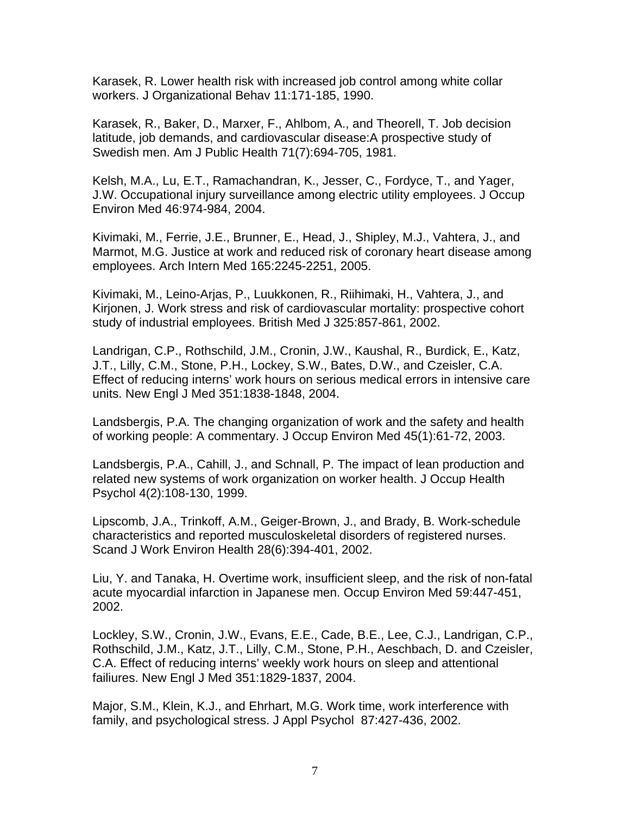Karasek, R. Lower health risk with increased job control among white collar workers. J Organizational Behav 11:171-185, 1990.

Karasek, R., Baker, D., Marxer, F., Ahlbom, A., and Theorell, T. Job decision latitude, job demands, and cardiovascular disease:A prospective study of Swedish men. Am J Public Health 71(7):694-705, 1981.

Kelsh, M.A., Lu, E.T., Ramachandran, K., Jesser, C., Fordyce, T., and Yager, J.W. Occupational injury surveillance among electric utility employees. J Occup Environ Med 46:974-984, 2004.

Kivimaki, M., Ferrie, J.E., Brunner, E., Head, J., Shipley, M.J., Vahtera, J., and Marmot, M.G. Justice at work and reduced risk of coronary heart disease among employees. Arch Intern Med 165:2245-2251, 2005.

Kivimaki, M., Leino-Arjas, P., Luukkonen, R., Riihimaki, H., Vahtera, J., and Kirjonen, J. Work stress and risk of cardiovascular mortality: prospective cohort study of industrial employees. British Med J 325:857-861, 2002.

Landrigan, C.P., Rothschild, J.M., Cronin, J.W., Kaushal, R., Burdick, E., Katz, J.T., Lilly, C.M., Stone, P.H., Lockey, S.W., Bates, D.W., and Czeisler, C.A. Effect of reducing interns' work hours on serious medical errors in intensive care units. New Engl J Med 351:1838-1848, 2004.

Landsbergis, P.A. The changing organization of work and the safety and health of working people: A commentary. J Occup Environ Med 45(1):61-72, 2003.

Landsbergis, P.A., Cahill, J., and Schnall, P. The impact of lean production and related new systems of work organization on worker health. J Occup Health Psychol 4(2):108-130, 1999.

Lipscomb, J.A., Trinkoff, A.M., Geiger-Brown, J., and Brady, B. Work-schedule characteristics and reported musculoskeletal disorders of registered nurses. Scand J Work Environ Health 28(6):394-401, 2002.

Liu, Y. and Tanaka, H. Overtime work, insufficient sleep, and the risk of non-fatal acute myocardial infarction in Japanese men. Occup Environ Med 59:447-451, 2002.

Lockley, S.W., Cronin, J.W., Evans, E.E., Cade, B.E., Lee, C.J., Landrigan, C.P., Rothschild, J.M., Katz, J.T., Lilly, C.M., Stone, P.H., Aeschbach, D. and Czeisler, C.A. Effect of reducing interns' weekly work hours on sleep and attentional failiures. New Engl J Med 351:1829-1837, 2004.

Major, S.M., Klein, K.J., and Ehrhart, M.G. Work time, work interference with family, and psychological stress. J Appl Psychol 87:427-436, 2002.